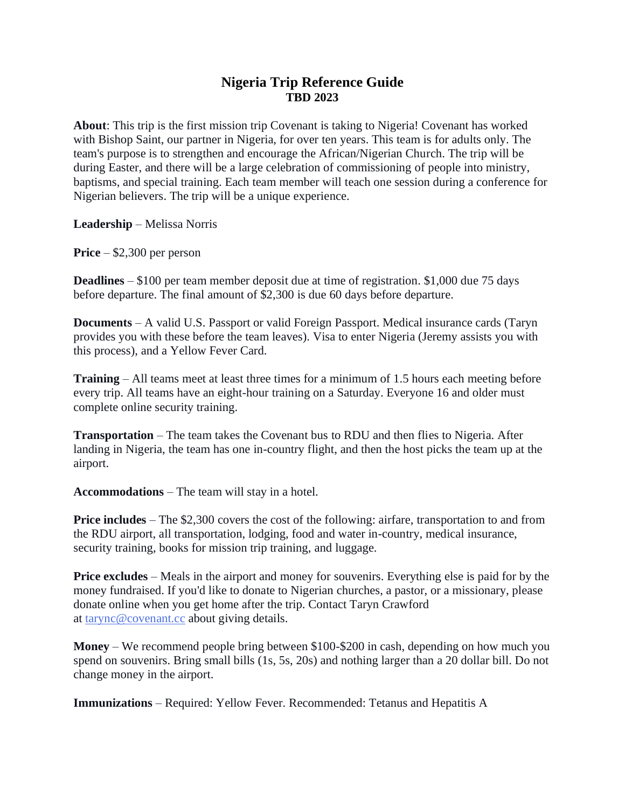## **Nigeria Trip Reference Guide TBD 2023**

**About**: This trip is the first mission trip Covenant is taking to Nigeria! Covenant has worked with Bishop Saint, our partner in Nigeria, for over ten years. This team is for adults only. The team's purpose is to strengthen and encourage the African/Nigerian Church. The trip will be during Easter, and there will be a large celebration of commissioning of people into ministry, baptisms, and special training. Each team member will teach one session during a conference for Nigerian believers. The trip will be a unique experience.

**Leadership** – Melissa Norris

**Price** – \$2,300 per person

**Deadlines** – \$100 per team member deposit due at time of registration. \$1,000 due 75 days before departure. The final amount of \$2,300 is due 60 days before departure.

**Documents** – A valid U.S. Passport or valid Foreign Passport. Medical insurance cards (Taryn provides you with these before the team leaves). Visa to enter Nigeria (Jeremy assists you with this process), and a Yellow Fever Card.

**Training** – All teams meet at least three times for a minimum of 1.5 hours each meeting before every trip. All teams have an eight-hour training on a Saturday. Everyone 16 and older must complete online security training.

**Transportation** – The team takes the Covenant bus to RDU and then flies to Nigeria. After landing in Nigeria, the team has one in-country flight, and then the host picks the team up at the airport.

**Accommodations** – The team will stay in a hotel.

**Price includes** – The \$2,300 covers the cost of the following: airfare, transportation to and from the RDU airport, all transportation, lodging, food and water in-country, medical insurance, security training, books for mission trip training, and luggage.

**Price excludes** – Meals in the airport and money for souvenirs. Everything else is paid for by the money fundraised. If you'd like to donate to Nigerian churches, a pastor, or a missionary, please donate online when you get home after the trip. Contact Taryn Crawford at [tarync@covenant.cc](mailto:tarync@covenant.cc) about giving details.

**Money** – We recommend people bring between \$100-\$200 in cash, depending on how much you spend on souvenirs. Bring small bills (1s, 5s, 20s) and nothing larger than a 20 dollar bill. Do not change money in the airport.

**Immunizations** – Required: Yellow Fever. Recommended: Tetanus and Hepatitis A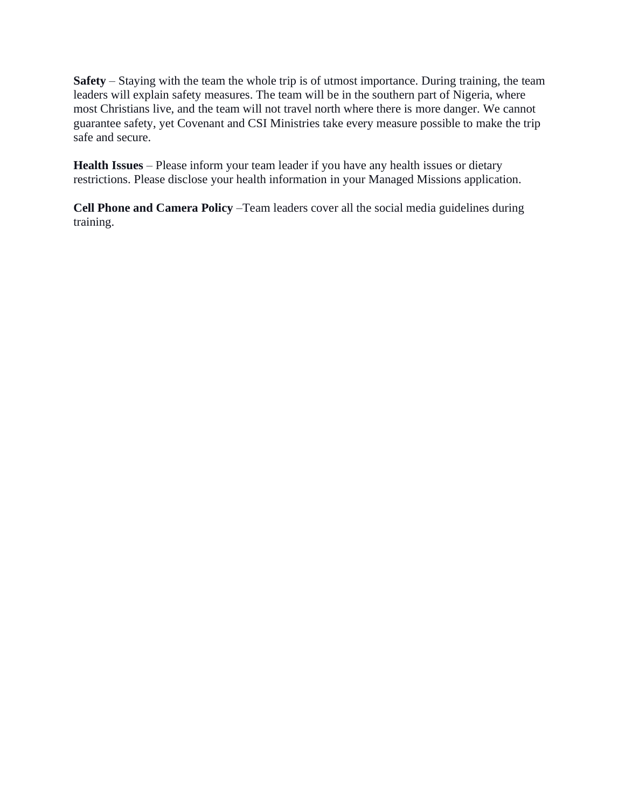**Safety** – Staying with the team the whole trip is of utmost importance. During training, the team leaders will explain safety measures. The team will be in the southern part of Nigeria, where most Christians live, and the team will not travel north where there is more danger. We cannot guarantee safety, yet Covenant and CSI Ministries take every measure possible to make the trip safe and secure.

**Health Issues** – Please inform your team leader if you have any health issues or dietary restrictions. Please disclose your health information in your Managed Missions application.

**Cell Phone and Camera Policy** –Team leaders cover all the social media guidelines during training.